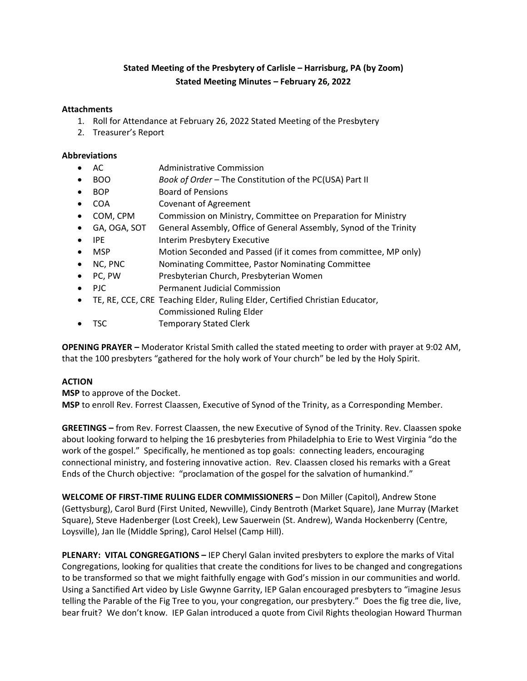# **Stated Meeting of the Presbytery of Carlisle – Harrisburg, PA (by Zoom) Stated Meeting Minutes – February 26, 2022**

## **Attachments**

- 1. Roll for Attendance at February 26, 2022 Stated Meeting of the Presbytery
- 2. Treasurer's Report

## **Abbreviations**

- AC Administrative Commission
- BOO *Book of Order –* The Constitution of the PC(USA) Part II
- BOP Board of Pensions
- COA Covenant of Agreement
- COM, CPM Commission on Ministry, Committee on Preparation for Ministry
- GA, OGA, SOT General Assembly, Office of General Assembly, Synod of the Trinity
- IPE Interim Presbytery Executive
- MSP Motion Seconded and Passed (if it comes from committee, MP only)
- NC, PNC Nominating Committee, Pastor Nominating Committee
- PC, PW Presbyterian Church, Presbyterian Women
- PJC Permanent Judicial Commission
- TE, RE, CCE, CRE Teaching Elder, Ruling Elder, Certified Christian Educator,
	- Commissioned Ruling Elder
- TSC Temporary Stated Clerk

**OPENING PRAYER –** Moderator Kristal Smith called the stated meeting to order with prayer at 9:02 AM, that the 100 presbyters "gathered for the holy work of Your church" be led by the Holy Spirit.

# **ACTION**

**MSP** to approve of the Docket. **MSP** to enroll Rev. Forrest Claassen, Executive of Synod of the Trinity, as a Corresponding Member.

**GREETINGS –** from Rev. Forrest Claassen, the new Executive of Synod of the Trinity. Rev. Claassen spoke about looking forward to helping the 16 presbyteries from Philadelphia to Erie to West Virginia "do the work of the gospel." Specifically, he mentioned as top goals: connecting leaders, encouraging connectional ministry, and fostering innovative action. Rev. Claassen closed his remarks with a Great Ends of the Church objective: "proclamation of the gospel for the salvation of humankind."

**WELCOME OF FIRST-TIME RULING ELDER COMMISSIONERS –** Don Miller (Capitol), Andrew Stone (Gettysburg), Carol Burd (First United, Newville), Cindy Bentroth (Market Square), Jane Murray (Market Square), Steve Hadenberger (Lost Creek), Lew Sauerwein (St. Andrew), Wanda Hockenberry (Centre, Loysville), Jan Ile (Middle Spring), Carol Helsel (Camp Hill).

**PLENARY: VITAL CONGREGATIONS –** IEP Cheryl Galan invited presbyters to explore the marks of Vital Congregations, looking for qualities that create the conditions for lives to be changed and congregations to be transformed so that we might faithfully engage with God's mission in our communities and world. Using a Sanctified Art video by Lisle Gwynne Garrity, IEP Galan encouraged presbyters to "imagine Jesus telling the Parable of the Fig Tree to you, your congregation, our presbytery." Does the fig tree die, live, bear fruit? We don't know. IEP Galan introduced a quote from Civil Rights theologian Howard Thurman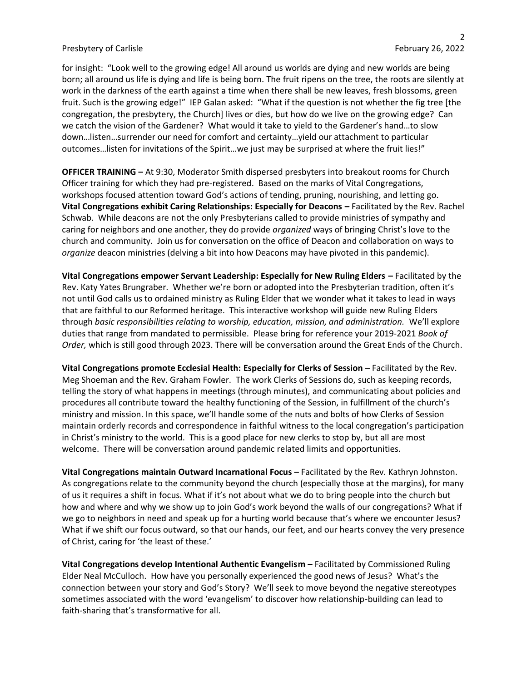for insight: "Look well to the growing edge! All around us worlds are dying and new worlds are being born; all around us life is dying and life is being born. The fruit ripens on the tree, the roots are silently at work in the darkness of the earth against a time when there shall be new leaves, fresh blossoms, green fruit. Such is the growing edge!" IEP Galan asked: "What if the question is not whether the fig tree [the congregation, the presbytery, the Church] lives or dies, but how do we live on the growing edge? Can we catch the vision of the Gardener? What would it take to yield to the Gardener's hand…to slow down…listen…surrender our need for comfort and certainty…yield our attachment to particular outcomes…listen for invitations of the Spirit…we just may be surprised at where the fruit lies!"

**OFFICER TRAINING –** At 9:30, Moderator Smith dispersed presbyters into breakout rooms for Church Officer training for which they had pre-registered. Based on the marks of Vital Congregations, workshops focused attention toward God's actions of tending, pruning, nourishing, and letting go. **Vital Congregations exhibit Caring Relationships: Especially for Deacons –** Facilitated by the Rev. Rachel Schwab. While deacons are not the only Presbyterians called to provide ministries of sympathy and caring for neighbors and one another, they do provide *organized* ways of bringing Christ's love to the church and community. Join us for conversation on the office of Deacon and collaboration on ways to *organize* deacon ministries (delving a bit into how Deacons may have pivoted in this pandemic).

**Vital Congregations empower Servant Leadership: Especially for New Ruling Elders – Facilitated by the** Rev. Katy Yates Brungraber. Whether we're born or adopted into the Presbyterian tradition, often it's not until God calls us to ordained ministry as Ruling Elder that we wonder what it takes to lead in ways that are faithful to our Reformed heritage. This interactive workshop will guide new Ruling Elders through *basic responsibilities relating to worship, education, mission, and administration.* We'll explore duties that range from mandated to permissible. Please bring for reference your 2019-2021 *Book of Order,* which is still good through 2023. There will be conversation around the Great Ends of the Church.

**Vital Congregations promote Ecclesial Health: Especially for Clerks of Session - Facilitated by the Rev.** Meg Shoeman and the Rev. Graham Fowler. The work Clerks of Sessions do, such as keeping records, telling the story of what happens in meetings (through minutes), and communicating about policies and procedures all contribute toward the healthy functioning of the Session, in fulfillment of the church's ministry and mission. In this space, we'll handle some of the nuts and bolts of how Clerks of Session maintain orderly records and correspondence in faithful witness to the local congregation's participation in Christ's ministry to the world. This is a good place for new clerks to stop by, but all are most welcome. There will be conversation around pandemic related limits and opportunities.

**Vital Congregations maintain Outward Incarnational Focus –** Facilitated by the Rev. Kathryn Johnston. As congregations relate to the community beyond the church (especially those at the margins), for many of us it requires a shift in focus. What if it's not about what we do to bring people into the church but how and where and why we show up to join God's work beyond the walls of our congregations? What if we go to neighbors in need and speak up for a hurting world because that's where we encounter Jesus? What if we shift our focus outward, so that our hands, our feet, and our hearts convey the very presence of Christ, caring for 'the least of these.'

**Vital Congregations develop Intentional Authentic Evangelism –** Facilitated by Commissioned Ruling Elder Neal McCulloch. How have you personally experienced the good news of Jesus? What's the connection between your story and God's Story? We'll seek to move beyond the negative stereotypes sometimes associated with the word 'evangelism' to discover how relationship-building can lead to faith-sharing that's transformative for all.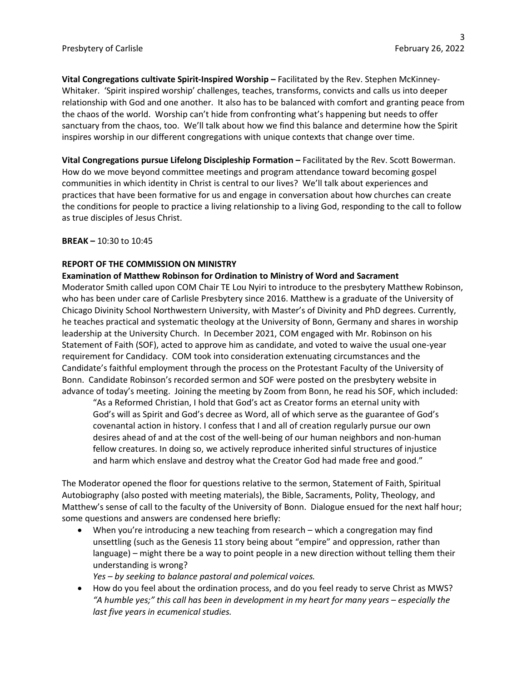**Vital Congregations cultivate Spirit-Inspired Worship –** Facilitated by the Rev. Stephen McKinney-Whitaker. 'Spirit inspired worship' challenges, teaches, transforms, convicts and calls us into deeper relationship with God and one another. It also has to be balanced with comfort and granting peace from the chaos of the world. Worship can't hide from confronting what's happening but needs to offer sanctuary from the chaos, too. We'll talk about how we find this balance and determine how the Spirit inspires worship in our different congregations with unique contexts that change over time.

**Vital Congregations pursue Lifelong Discipleship Formation –** Facilitated by the Rev. Scott Bowerman. How do we move beyond committee meetings and program attendance toward becoming gospel communities in which identity in Christ is central to our lives? We'll talk about experiences and practices that have been formative for us and engage in conversation about how churches can create the conditions for people to practice a living relationship to a living God, responding to the call to follow as true disciples of Jesus Christ.

**BREAK –** 10:30 to 10:45

### **REPORT OF THE COMMISSION ON MINISTRY**

### **Examination of Matthew Robinson for Ordination to Ministry of Word and Sacrament**

Moderator Smith called upon COM Chair TE Lou Nyiri to introduce to the presbytery Matthew Robinson, who has been under care of Carlisle Presbytery since 2016. Matthew is a graduate of the University of Chicago Divinity School Northwestern University, with Master's of Divinity and PhD degrees. Currently, he teaches practical and systematic theology at the University of Bonn, Germany and shares in worship leadership at the University Church. In December 2021, COM engaged with Mr. Robinson on his Statement of Faith (SOF), acted to approve him as candidate, and voted to waive the usual one-year requirement for Candidacy. COM took into consideration extenuating circumstances and the Candidate's faithful employment through the process on the Protestant Faculty of the University of Bonn. Candidate Robinson's recorded sermon and SOF were posted on the presbytery website in advance of today's meeting. Joining the meeting by Zoom from Bonn, he read his SOF, which included:

"As a Reformed Christian, I hold that God's act as Creator forms an eternal unity with God's will as Spirit and God's decree as Word, all of which serve as the guarantee of God's covenantal action in history. I confess that I and all of creation regularly pursue our own desires ahead of and at the cost of the well-being of our human neighbors and non-human fellow creatures. In doing so, we actively reproduce inherited sinful structures of injustice and harm which enslave and destroy what the Creator God had made free and good."

The Moderator opened the floor for questions relative to the sermon, Statement of Faith, Spiritual Autobiography (also posted with meeting materials), the Bible, Sacraments, Polity, Theology, and Matthew's sense of call to the faculty of the University of Bonn. Dialogue ensued for the next half hour; some questions and answers are condensed here briefly:

• When you're introducing a new teaching from research – which a congregation may find unsettling (such as the Genesis 11 story being about "empire" and oppression, rather than language) – might there be a way to point people in a new direction without telling them their understanding is wrong?

*Yes – by seeking to balance pastoral and polemical voices.*

• How do you feel about the ordination process, and do you feel ready to serve Christ as MWS? *"A humble yes;" this call has been in development in my heart for many years – especially the last five years in ecumenical studies.*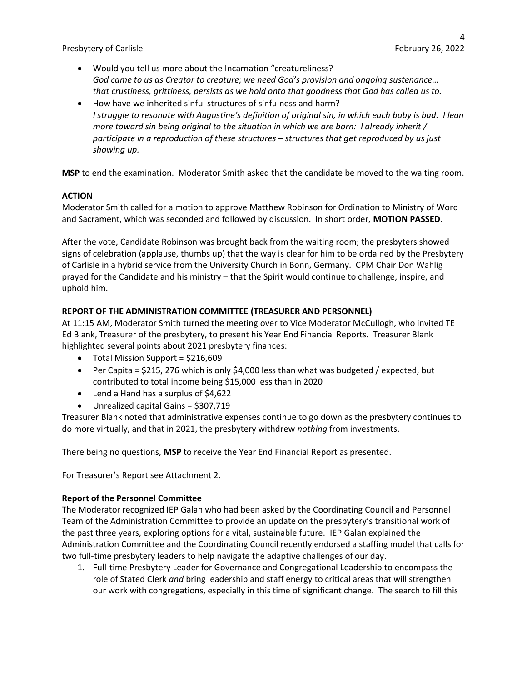- Would you tell us more about the Incarnation "creatureliness? *God came to us as Creator to creature; we need God's provision and ongoing sustenance… that crustiness, grittiness, persists as we hold onto that goodness that God has called us to.*
- How have we inherited sinful structures of sinfulness and harm? *I struggle to resonate with Augustine's definition of original sin, in which each baby is bad. I lean more toward sin being original to the situation in which we are born: I already inherit / participate in a reproduction of these structures – structures that get reproduced by us just showing up.*

**MSP** to end the examination. Moderator Smith asked that the candidate be moved to the waiting room.

# **ACTION**

Moderator Smith called for a motion to approve Matthew Robinson for Ordination to Ministry of Word and Sacrament, which was seconded and followed by discussion. In short order, **MOTION PASSED.**

After the vote, Candidate Robinson was brought back from the waiting room; the presbyters showed signs of celebration (applause, thumbs up) that the way is clear for him to be ordained by the Presbytery of Carlisle in a hybrid service from the University Church in Bonn, Germany. CPM Chair Don Wahlig prayed for the Candidate and his ministry – that the Spirit would continue to challenge, inspire, and uphold him.

# **REPORT OF THE ADMINISTRATION COMMITTEE (TREASURER AND PERSONNEL)**

At 11:15 AM, Moderator Smith turned the meeting over to Vice Moderator McCullogh, who invited TE Ed Blank, Treasurer of the presbytery, to present his Year End Financial Reports. Treasurer Blank highlighted several points about 2021 presbytery finances:

- Total Mission Support = \$216,609
- Per Capita = \$215, 276 which is only \$4,000 less than what was budgeted / expected, but contributed to total income being \$15,000 less than in 2020
- Lend a Hand has a surplus of \$4,622
- Unrealized capital Gains = \$307,719

Treasurer Blank noted that administrative expenses continue to go down as the presbytery continues to do more virtually, and that in 2021, the presbytery withdrew *nothing* from investments.

There being no questions, **MSP** to receive the Year End Financial Report as presented.

For Treasurer's Report see Attachment 2.

## **Report of the Personnel Committee**

The Moderator recognized IEP Galan who had been asked by the Coordinating Council and Personnel Team of the Administration Committee to provide an update on the presbytery's transitional work of the past three years, exploring options for a vital, sustainable future. IEP Galan explained the Administration Committee and the Coordinating Council recently endorsed a staffing model that calls for two full-time presbytery leaders to help navigate the adaptive challenges of our day.

1. Full-time Presbytery Leader for Governance and Congregational Leadership to encompass the role of Stated Clerk *and* bring leadership and staff energy to critical areas that will strengthen our work with congregations, especially in this time of significant change. The search to fill this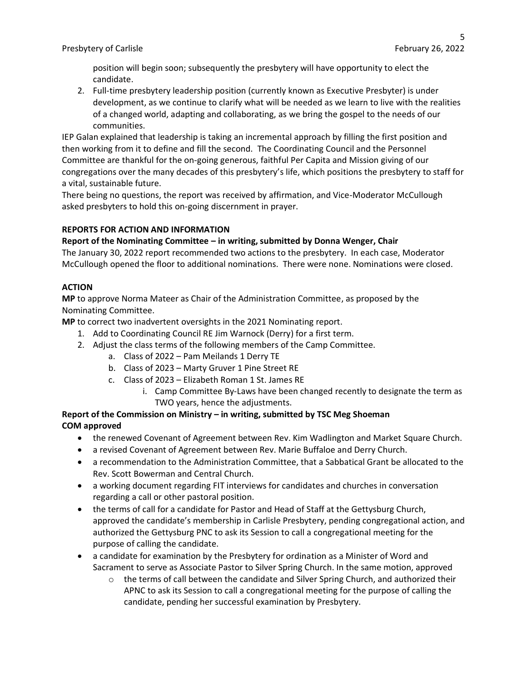position will begin soon; subsequently the presbytery will have opportunity to elect the candidate.

2. Full-time presbytery leadership position (currently known as Executive Presbyter) is under development, as we continue to clarify what will be needed as we learn to live with the realities of a changed world, adapting and collaborating, as we bring the gospel to the needs of our communities.

IEP Galan explained that leadership is taking an incremental approach by filling the first position and then working from it to define and fill the second. The Coordinating Council and the Personnel Committee are thankful for the on-going generous, faithful Per Capita and Mission giving of our congregations over the many decades of this presbytery's life, which positions the presbytery to staff for a vital, sustainable future.

There being no questions, the report was received by affirmation, and Vice-Moderator McCullough asked presbyters to hold this on-going discernment in prayer.

# **REPORTS FOR ACTION AND INFORMATION**

## **Report of the Nominating Committee – in writing, submitted by Donna Wenger, Chair**

The January 30, 2022 report recommended two actions to the presbytery. In each case, Moderator McCullough opened the floor to additional nominations. There were none. Nominations were closed.

## **ACTION**

**MP** to approve Norma Mateer as Chair of the Administration Committee, as proposed by the Nominating Committee.

**MP** to correct two inadvertent oversights in the 2021 Nominating report.

- 1. Add to Coordinating Council RE Jim Warnock (Derry) for a first term.
- 2. Adjust the class terms of the following members of the Camp Committee.
	- a. Class of 2022 Pam Meilands 1 Derry TE
	- b. Class of 2023 Marty Gruver 1 Pine Street RE
	- c. Class of 2023 Elizabeth Roman 1 St. James RE
		- i. Camp Committee By-Laws have been changed recently to designate the term as TWO years, hence the adjustments.

# **Report of the Commission on Ministry – in writing, submitted by TSC Meg Shoeman COM approved**

- the renewed Covenant of Agreement between Rev. Kim Wadlington and Market Square Church.
- a revised Covenant of Agreement between Rev. Marie Buffaloe and Derry Church.
- a recommendation to the Administration Committee, that a Sabbatical Grant be allocated to the Rev. Scott Bowerman and Central Church.
- a working document regarding FIT interviews for candidates and churches in conversation regarding a call or other pastoral position.
- the terms of call for a candidate for Pastor and Head of Staff at the Gettysburg Church, approved the candidate's membership in Carlisle Presbytery, pending congregational action, and authorized the Gettysburg PNC to ask its Session to call a congregational meeting for the purpose of calling the candidate.
- a candidate for examination by the Presbytery for ordination as a Minister of Word and Sacrament to serve as Associate Pastor to Silver Spring Church. In the same motion, approved
	- $\circ$  the terms of call between the candidate and Silver Spring Church, and authorized their APNC to ask its Session to call a congregational meeting for the purpose of calling the candidate, pending her successful examination by Presbytery.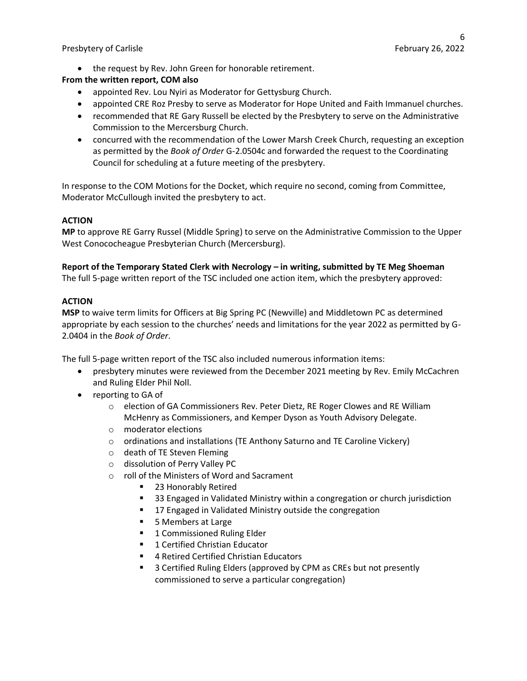• the request by Rev. John Green for honorable retirement.

# **From the written report, COM also**

- appointed Rev. Lou Nyiri as Moderator for Gettysburg Church.
- appointed CRE Roz Presby to serve as Moderator for Hope United and Faith Immanuel churches.
- recommended that RE Gary Russell be elected by the Presbytery to serve on the Administrative Commission to the Mercersburg Church.
- concurred with the recommendation of the Lower Marsh Creek Church, requesting an exception as permitted by the *Book of Order* G-2.0504c and forwarded the request to the Coordinating Council for scheduling at a future meeting of the presbytery.

In response to the COM Motions for the Docket, which require no second, coming from Committee, Moderator McCullough invited the presbytery to act.

### **ACTION**

**MP** to approve RE Garry Russel (Middle Spring) to serve on the Administrative Commission to the Upper West Conococheague Presbyterian Church (Mercersburg).

## **Report of the Temporary Stated Clerk with Necrology – in writing, submitted by TE Meg Shoeman**

The full 5-page written report of the TSC included one action item, which the presbytery approved:

### **ACTION**

**MSP** to waive term limits for Officers at Big Spring PC (Newville) and Middletown PC as determined appropriate by each session to the churches' needs and limitations for the year 2022 as permitted by G-2.0404 in the *Book of Order*.

The full 5-page written report of the TSC also included numerous information items:

- presbytery minutes were reviewed from the December 2021 meeting by Rev. Emily McCachren and Ruling Elder Phil Noll.
- reporting to GA of
	- o election of GA Commissioners Rev. Peter Dietz, RE Roger Clowes and RE William McHenry as Commissioners, and Kemper Dyson as Youth Advisory Delegate.
	- o moderator elections
	- o ordinations and installations (TE Anthony Saturno and TE Caroline Vickery)
	- o death of TE Steven Fleming
	- o dissolution of Perry Valley PC
	- o roll of the Ministers of Word and Sacrament
		- 23 Honorably Retired
		- 33 Engaged in Validated Ministry within a congregation or church jurisdiction
		- 17 Engaged in Validated Ministry outside the congregation
		- 5 Members at Large
		- 1 Commissioned Ruling Elder
		- 1 Certified Christian Educator
		- 4 Retired Certified Christian Educators
		- 3 Certified Ruling Elders (approved by CPM as CREs but not presently commissioned to serve a particular congregation)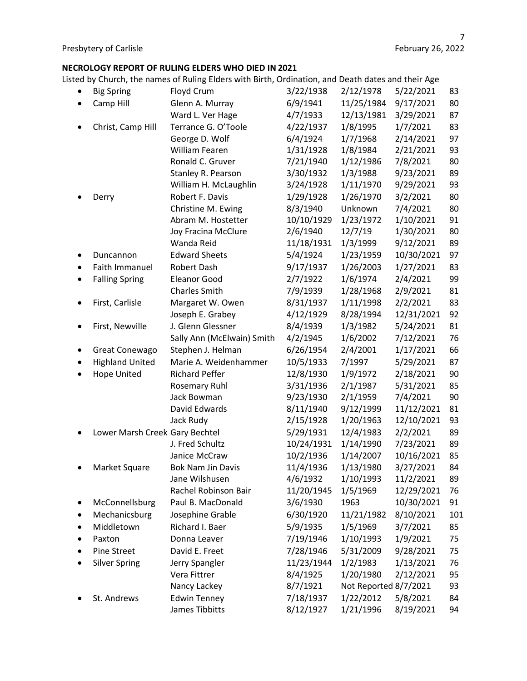### **NECROLOGY REPORT OF RULING ELDERS WHO DIED IN 2021**

Listed by Church, the names of Ruling Elders with Birth, Ordination, and Death dates and their Age

| ٠ | <b>Big Spring</b>              | Floyd Crum                 | 3/22/1938  | 2/12/1978             | 5/22/2021  | 83  |
|---|--------------------------------|----------------------------|------------|-----------------------|------------|-----|
|   | Camp Hill                      | Glenn A. Murray            | 6/9/1941   | 11/25/1984            | 9/17/2021  | 80  |
|   |                                | Ward L. Ver Hage           | 4/7/1933   | 12/13/1981            | 3/29/2021  | 87  |
|   | Christ, Camp Hill              | Terrance G. O'Toole        | 4/22/1937  | 1/8/1995              | 1/7/2021   | 83  |
|   |                                | George D. Wolf             | 6/4/1924   | 1/7/1968              | 2/14/2021  | 97  |
|   |                                | William Fearen             | 1/31/1928  | 1/8/1984              | 2/21/2021  | 93  |
|   |                                | Ronald C. Gruver           | 7/21/1940  | 1/12/1986             | 7/8/2021   | 80  |
|   |                                | Stanley R. Pearson         | 3/30/1932  | 1/3/1988              | 9/23/2021  | 89  |
|   |                                | William H. McLaughlin      | 3/24/1928  | 1/11/1970             | 9/29/2021  | 93  |
|   | Derry                          | Robert F. Davis            | 1/29/1928  | 1/26/1970             | 3/2/2021   | 80  |
|   |                                | Christine M. Ewing         | 8/3/1940   | Unknown               | 7/4/2021   | 80  |
|   |                                | Abram M. Hostetter         | 10/10/1929 | 1/23/1972             | 1/10/2021  | 91  |
|   |                                | Joy Fracina McClure        | 2/6/1940   | 12/7/19               | 1/30/2021  | 80  |
|   |                                | Wanda Reid                 | 11/18/1931 | 1/3/1999              | 9/12/2021  | 89  |
|   | Duncannon                      | <b>Edward Sheets</b>       | 5/4/1924   | 1/23/1959             | 10/30/2021 | 97  |
|   | Faith Immanuel                 | Robert Dash                | 9/17/1937  | 1/26/2003             | 1/27/2021  | 83  |
|   | <b>Falling Spring</b>          | <b>Eleanor Good</b>        | 2/7/1922   | 1/6/1974              | 2/4/2021   | 99  |
|   |                                | <b>Charles Smith</b>       | 7/9/1939   | 1/28/1968             | 2/9/2021   | 81  |
|   | First, Carlisle                | Margaret W. Owen           | 8/31/1937  | 1/11/1998             | 2/2/2021   | 83  |
|   |                                | Joseph E. Grabey           | 4/12/1929  | 8/28/1994             | 12/31/2021 | 92  |
|   | First, Newville                | J. Glenn Glessner          | 8/4/1939   | 1/3/1982              | 5/24/2021  | 81  |
|   |                                | Sally Ann (McElwain) Smith | 4/2/1945   | 1/6/2002              | 7/12/2021  | 76  |
|   | Great Conewago                 | Stephen J. Helman          | 6/26/1954  | 2/4/2001              | 1/17/2021  | 66  |
|   | <b>Highland United</b>         | Marie A. Weidenhammer      | 10/5/1933  | 7/1997                | 5/29/2021  | 87  |
|   | Hope United                    | <b>Richard Peffer</b>      | 12/8/1930  | 1/9/1972              | 2/18/2021  | 90  |
|   |                                | <b>Rosemary Ruhl</b>       | 3/31/1936  | 2/1/1987              | 5/31/2021  | 85  |
|   |                                | Jack Bowman                | 9/23/1930  | 2/1/1959              | 7/4/2021   | 90  |
|   |                                | David Edwards              | 8/11/1940  | 9/12/1999             | 11/12/2021 | 81  |
|   |                                | Jack Rudy                  | 2/15/1928  | 1/20/1963             | 12/10/2021 | 93  |
|   | Lower Marsh Creek Gary Bechtel |                            | 5/29/1931  | 12/4/1983             | 2/2/2021   | 89  |
|   |                                | J. Fred Schultz            | 10/24/1931 | 1/14/1990             | 7/23/2021  | 89  |
|   |                                | Janice McCraw              | 10/2/1936  | 1/14/2007             | 10/16/2021 | 85  |
|   | Market Square                  | <b>Bok Nam Jin Davis</b>   | 11/4/1936  | 1/13/1980             | 3/27/2021  | 84  |
|   |                                | Jane Wilshusen             | 4/6/1932   | 1/10/1993             | 11/2/2021  | 89  |
|   |                                | Rachel Robinson Bair       | 11/20/1945 | 1/5/1969              | 12/29/2021 | 76  |
|   | McConnellsburg                 | Paul B. MacDonald          | 3/6/1930   | 1963                  | 10/30/2021 | 91  |
|   | Mechanicsburg                  | Josephine Grable           | 6/30/1920  | 11/21/1982            | 8/10/2021  | 101 |
|   | Middletown                     | Richard I. Baer            | 5/9/1935   | 1/5/1969              | 3/7/2021   | 85  |
|   | Paxton                         | Donna Leaver               | 7/19/1946  | 1/10/1993             | 1/9/2021   | 75  |
|   | Pine Street                    | David E. Freet             | 7/28/1946  | 5/31/2009             | 9/28/2021  | 75  |
|   | <b>Silver Spring</b>           | Jerry Spangler             | 11/23/1944 | 1/2/1983              | 1/13/2021  | 76  |
|   |                                | Vera Fittrer               | 8/4/1925   | 1/20/1980             | 2/12/2021  | 95  |
|   |                                | Nancy Lackey               | 8/7/1921   | Not Reported 8/7/2021 |            | 93  |
|   | St. Andrews                    | <b>Edwin Tenney</b>        | 7/18/1937  | 1/22/2012             | 5/8/2021   | 84  |
|   |                                | James Tibbitts             | 8/12/1927  | 1/21/1996             | 8/19/2021  | 94  |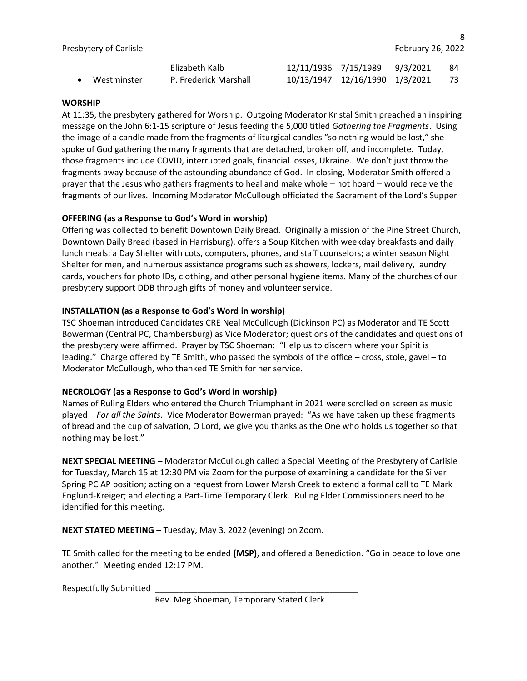|                       | Elizabeth Kalb        | 12/11/1936 7/15/1989 9/3/2021  | - 84 |
|-----------------------|-----------------------|--------------------------------|------|
| $\bullet$ Westminster | P. Frederick Marshall | 10/13/1947 12/16/1990 1/3/2021 | 73   |

#### **WORSHIP**

At 11:35, the presbytery gathered for Worship. Outgoing Moderator Kristal Smith preached an inspiring message on the John 6:1-15 scripture of Jesus feeding the 5,000 titled *Gathering the Fragments*. Using the image of a candle made from the fragments of liturgical candles "so nothing would be lost," she spoke of God gathering the many fragments that are detached, broken off, and incomplete. Today, those fragments include COVID, interrupted goals, financial losses, Ukraine. We don't just throw the fragments away because of the astounding abundance of God. In closing, Moderator Smith offered a prayer that the Jesus who gathers fragments to heal and make whole – not hoard – would receive the fragments of our lives. Incoming Moderator McCullough officiated the Sacrament of the Lord's Supper

## **OFFERING (as a Response to God's Word in worship)**

Offering was collected to benefit Downtown Daily Bread. Originally a mission of the Pine Street Church, Downtown Daily Bread (based in Harrisburg), offers a Soup Kitchen with weekday breakfasts and daily lunch meals; a Day Shelter with cots, computers, phones, and staff counselors; a winter season Night Shelter for men, and numerous assistance programs such as showers, lockers, mail delivery, laundry cards, vouchers for photo IDs, clothing, and other personal hygiene items. Many of the churches of our presbytery support DDB through gifts of money and volunteer service.

### **INSTALLATION (as a Response to God's Word in worship)**

TSC Shoeman introduced Candidates CRE Neal McCullough (Dickinson PC) as Moderator and TE Scott Bowerman (Central PC, Chambersburg) as Vice Moderator; questions of the candidates and questions of the presbytery were affirmed. Prayer by TSC Shoeman: "Help us to discern where your Spirit is leading." Charge offered by TE Smith, who passed the symbols of the office – cross, stole, gavel – to Moderator McCullough, who thanked TE Smith for her service.

#### **NECROLOGY (as a Response to God's Word in worship)**

Names of Ruling Elders who entered the Church Triumphant in 2021 were scrolled on screen as music played – *For all the Saints*. Vice Moderator Bowerman prayed: "As we have taken up these fragments of bread and the cup of salvation, O Lord, we give you thanks as the One who holds us together so that nothing may be lost."

**NEXT SPECIAL MEETING –** Moderator McCullough called a Special Meeting of the Presbytery of Carlisle for Tuesday, March 15 at 12:30 PM via Zoom for the purpose of examining a candidate for the Silver Spring PC AP position; acting on a request from Lower Marsh Creek to extend a formal call to TE Mark Englund-Kreiger; and electing a Part-Time Temporary Clerk. Ruling Elder Commissioners need to be identified for this meeting.

**NEXT STATED MEETING** – Tuesday, May 3, 2022 (evening) on Zoom.

TE Smith called for the meeting to be ended **(MSP)**, and offered a Benediction. "Go in peace to love one another." Meeting ended 12:17 PM.

Respectfully Submitted

Rev. Meg Shoeman, Temporary Stated Clerk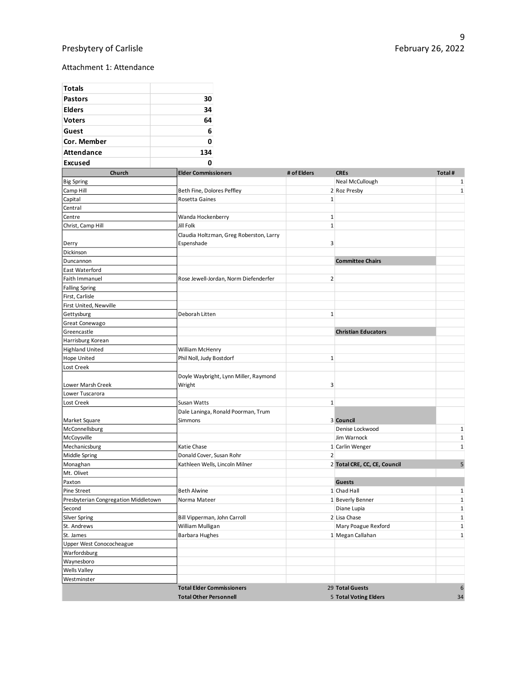# Presbytery of Carlisle

#### Attachment 1: Attendance

| <b>Totals</b>                        |                                                 |                |                              |              |
|--------------------------------------|-------------------------------------------------|----------------|------------------------------|--------------|
| <b>Pastors</b>                       | 30                                              |                |                              |              |
| <b>Elders</b>                        | 34                                              |                |                              |              |
| <b>Voters</b>                        | 64                                              |                |                              |              |
| Guest                                | 6                                               |                |                              |              |
|                                      |                                                 |                |                              |              |
| Cor. Member                          | 0                                               |                |                              |              |
| <b>Attendance</b>                    | 134                                             |                |                              |              |
| <b>Excused</b>                       | 0                                               |                |                              |              |
| Church                               | <b>Elder Commissioners</b>                      | # of Elders    | <b>CREs</b>                  | Total#       |
| <b>Big Spring</b>                    |                                                 |                | Neal McCullough              | 1            |
| Camp Hill                            | Beth Fine, Dolores Peffley                      |                | 2 Roz Presby                 | 1            |
| Capital                              | Rosetta Gaines                                  | $\mathbf{1}$   |                              |              |
| Central                              |                                                 |                |                              |              |
| Centre                               | Wanda Hockenberry                               | $1\,$          |                              |              |
| Christ, Camp Hill                    | Jill Folk                                       | $\mathbf{1}$   |                              |              |
|                                      | Claudia Holtzman, Greg Roberston, Larry         |                |                              |              |
| Derry<br>Dickinson                   | Espenshade                                      | 3              |                              |              |
| Duncannon                            |                                                 |                | <b>Committee Chairs</b>      |              |
| East Waterford                       |                                                 |                |                              |              |
| Faith Immanuel                       | Rose Jewell-Jordan, Norm Diefenderfer           | $\overline{2}$ |                              |              |
| <b>Falling Spring</b>                |                                                 |                |                              |              |
| First, Carlisle                      |                                                 |                |                              |              |
| First United, Newville               |                                                 |                |                              |              |
| Gettysburg                           | Deborah Litten                                  | $\mathbf{1}$   |                              |              |
| Great Conewago                       |                                                 |                |                              |              |
| Greencastle                          |                                                 |                | <b>Christian Educators</b>   |              |
| Harrisburg Korean                    |                                                 |                |                              |              |
| <b>Highland United</b>               | William McHenry                                 |                |                              |              |
| <b>Hope United</b>                   | Phil Noll, Judy Bostdorf                        | $\mathbf{1}$   |                              |              |
| Lost Creek                           |                                                 |                |                              |              |
| Lower Marsh Creek                    | Doyle Waybright, Lynn Miller, Raymond<br>Wright | 3              |                              |              |
| Lower Tuscarora                      |                                                 |                |                              |              |
| Lost Creek                           | Susan Watts                                     | $\mathbf{1}$   |                              |              |
|                                      | Dale Laninga, Ronald Poorman, Trum              |                |                              |              |
| Market Square                        | Simmons                                         |                | 3 Council                    |              |
| McConnellsburg                       |                                                 |                | Denise Lockwood              | $\mathbf 1$  |
| McCoysville                          |                                                 |                | Jim Warnock                  | $\mathbf 1$  |
| Mechanicsburg                        | Katie Chase                                     |                | 1 Carlin Wenger              | $\mathbf{1}$ |
| Middle Spring                        | Donald Cover, Susan Rohr                        | $\overline{2}$ |                              |              |
| Monaghan                             | Kathleen Wells, Lincoln Milner                  |                | 2 Total CRE, CC, CE, Council | 5            |
| Mt. Olivet<br>Paxton                 |                                                 |                | <b>Guests</b>                |              |
| Pine Street                          | <b>Beth Alwine</b>                              |                | 1 Chad Hall                  | 1            |
| Presbyterian Congregation Middletown | Norma Mateer                                    |                | 1 Beverly Benner             | $\mathbf 1$  |
| Second                               |                                                 |                | Diane Lupia                  | $\mathbf 1$  |
| <b>Silver Spring</b>                 | Bill Vipperman, John Carroll                    |                | 2 Lisa Chase                 | $\mathbf{1}$ |
| St. Andrews                          | William Mulligan                                |                | Mary Poague Rexford          | 1            |
| St. James                            | <b>Barbara Hughes</b>                           |                | 1 Megan Callahan             | $\mathbf{1}$ |
| Upper West Conococheague             |                                                 |                |                              |              |
| Warfordsburg                         |                                                 |                |                              |              |
| Waynesboro                           |                                                 |                |                              |              |
| <b>Wells Valley</b>                  |                                                 |                |                              |              |
| Westminster                          |                                                 |                |                              |              |
|                                      | <b>Total Elder Commissioners</b>                |                | 29 Total Guests              | 6            |
|                                      | <b>Total Other Personnell</b>                   |                | 5 Total Voting Elders        | 34           |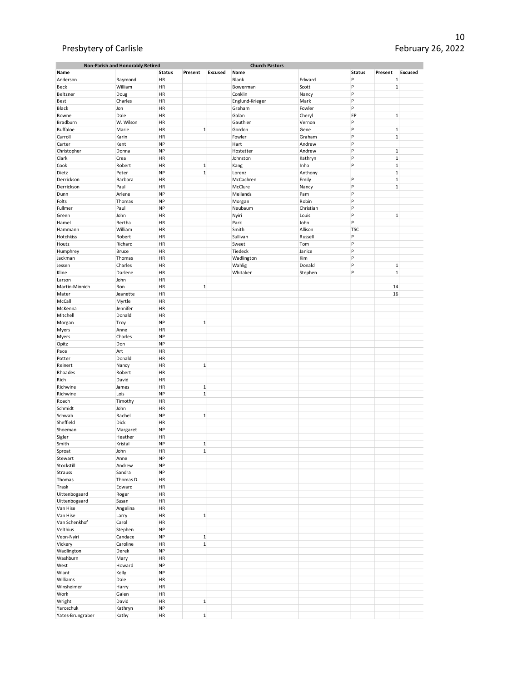# Presbytery of Carlisle

| Non-Parish and Honorably Retired<br><b>Church Pastors</b> |              |               |              |         |                 |           |               |              |                |
|-----------------------------------------------------------|--------------|---------------|--------------|---------|-----------------|-----------|---------------|--------------|----------------|
| Name                                                      |              | <b>Status</b> | Present      | Excused | Name            |           | <b>Status</b> | Present      | <b>Excused</b> |
| Anderson                                                  | Raymond      | HR            |              |         | Blank           | Edward    | P             | $\mathbf 1$  |                |
| Beck                                                      | William      | HR            |              |         | Bowerman        | Scott     | P             | $\mathbf 1$  |                |
| Beltzner                                                  | Doug         | HR            |              |         | Conklin         | Nancy     | P             |              |                |
|                                                           |              |               |              |         |                 |           | P             |              |                |
| Best                                                      | Charles      | HR            |              |         | Englund-Krieger | Mark      |               |              |                |
| Black                                                     | Jon          | HR            |              |         | Graham          | Fowler    | P             |              |                |
| Bowne                                                     | Dale         | HR            |              |         | Galan           | Cheryl    | EP            | $\,1\,$      |                |
| Bradburn                                                  | W. Wilson    | HR            |              |         | Gauthier        | Vernon    | P             |              |                |
| <b>Buffaloe</b>                                           | Marie        | <b>HR</b>     | $\,1\,$      |         | Gordon          | Gene      | P             | $\,1\,$      |                |
| Carroll                                                   | Karin        | HR            |              |         | Fowler          | Graham    | P             | $\,1\,$      |                |
| Carter                                                    | Kent         | <b>NP</b>     |              |         | Hart            | Andrew    | P             |              |                |
| Christopher                                               | Donna        | <b>NP</b>     |              |         | Hostetter       | Andrew    | P             | $\,1\,$      |                |
| Clark                                                     | Crea         | HR            |              |         | Johnston        | Kathryn   | P             | $\,1\,$      |                |
| Cook                                                      | Robert       | HR            | $1\,$        |         |                 |           | P             | $\mathbf{1}$ |                |
|                                                           |              |               |              |         | Kang            | Inho      |               |              |                |
| Dietz                                                     | Peter        | <b>NP</b>     | $\,1\,$      |         | Lorenz          | Anthony   |               | $\mathbf 1$  |                |
| Derrickson                                                | Barbara      | HR            |              |         | McCachren       | Emily     | P             | $\mathbf 1$  |                |
| Derrickson                                                | Paul         | HR            |              |         | McClure         | Nancy     | P             | $\mathbf 1$  |                |
| Dunn                                                      | Arlene       | <b>NP</b>     |              |         | Meilands        | Pam       | P             |              |                |
| Folts                                                     | Thomas       | <b>NP</b>     |              |         | Morgan          | Robin     | P             |              |                |
| Fullmer                                                   | Paul         | <b>NP</b>     |              |         | Neubaum         | Christian | P             |              |                |
| Green                                                     | John         | HR            |              |         | Nyiri           | Louis     | P             | $1\,$        |                |
| Hamel                                                     | Bertha       | HR            |              |         | Park            | John      | P             |              |                |
| Hammann                                                   | William      | HR            |              |         | Smith           | Allison   | <b>TSC</b>    |              |                |
| Hotchkiss                                                 | Robert       | HR            |              |         | Sullivan        | Russell   | P             |              |                |
| Houtz                                                     | Richard      | HR            |              |         | Sweet           | Tom       | P             |              |                |
|                                                           |              |               |              |         |                 |           |               |              |                |
| Humphrey                                                  | <b>Bruce</b> | HR            |              |         | Tiedeck         | Janice    | P             |              |                |
| Jackman                                                   | Thomas       | HR            |              |         | Wadlington      | Kim       | P             |              |                |
| Jessen                                                    | Charles      | HR            |              |         | Wahlig          | Donald    | P             | $\mathbf 1$  |                |
| Kline                                                     | Darlene      | HR            |              |         | Whitaker        | Stephen   | P             | $\,1\,$      |                |
| Larson                                                    | John         | HR            |              |         |                 |           |               |              |                |
| Martin-Minnich                                            | Ron          | HR            | $\,1\,$      |         |                 |           |               | 14           |                |
| Mater                                                     | Jeanette     | HR            |              |         |                 |           |               | 16           |                |
| McCall                                                    | Myrtle       | HR            |              |         |                 |           |               |              |                |
| McKenna                                                   | Jennifer     | HR            |              |         |                 |           |               |              |                |
| Mitchell                                                  | Donald       | HR            |              |         |                 |           |               |              |                |
| Morgan                                                    | Troy         | <b>NP</b>     | $\,1\,$      |         |                 |           |               |              |                |
|                                                           |              |               |              |         |                 |           |               |              |                |
| Myers                                                     | Anne         | HR            |              |         |                 |           |               |              |                |
| Myers                                                     | Charles      | <b>NP</b>     |              |         |                 |           |               |              |                |
| Opitz                                                     | Don          | <b>NP</b>     |              |         |                 |           |               |              |                |
| Pace                                                      | Art          | HR            |              |         |                 |           |               |              |                |
| Potter                                                    | Donald       | HR            |              |         |                 |           |               |              |                |
| Reinert                                                   | Nancy        | HR            | $\,1\,$      |         |                 |           |               |              |                |
| Rhoades                                                   | Robert       | HR            |              |         |                 |           |               |              |                |
| Rich                                                      | David        | HR            |              |         |                 |           |               |              |                |
| Richwine                                                  | James        | HR            | $\,1\,$      |         |                 |           |               |              |                |
| Richwine                                                  | Lois         | <b>NP</b>     | $\,1\,$      |         |                 |           |               |              |                |
| Roach                                                     | Timothy      | HR            |              |         |                 |           |               |              |                |
| Schmidt                                                   | John         | HR            |              |         |                 |           |               |              |                |
|                                                           |              |               |              |         |                 |           |               |              |                |
| Schwab                                                    | Rachel       | <b>NP</b>     | $\,1\,$      |         |                 |           |               |              |                |
| Sheffield                                                 | Dick         | HR            |              |         |                 |           |               |              |                |
| Shoeman                                                   | Margaret     | <b>NP</b>     |              |         |                 |           |               |              |                |
| Sigler                                                    | Heather      | HR            |              |         |                 |           |               |              |                |
| Smith                                                     | Kristal      | <b>NP</b>     | $\,1\,$      |         |                 |           |               |              |                |
| Sproat                                                    | John         | HR            | $\mathbf{1}$ |         |                 |           |               |              |                |
| Stewart                                                   | Anne         | <b>NP</b>     |              |         |                 |           |               |              |                |
| Stockstill                                                | Andrew       | NP            |              |         |                 |           |               |              |                |
| Strauss                                                   | Sandra       | <b>NP</b>     |              |         |                 |           |               |              |                |
| Thomas                                                    | Thomas D.    | HR            |              |         |                 |           |               |              |                |
| Trask                                                     | Edward       | HR            |              |         |                 |           |               |              |                |
| Uittenbogaard                                             | Roger        | HR            |              |         |                 |           |               |              |                |
|                                                           |              |               |              |         |                 |           |               |              |                |
| Uittenbogaard                                             | Susan        | <b>HR</b>     |              |         |                 |           |               |              |                |
| Van Hise                                                  | Angelina     | HR            |              |         |                 |           |               |              |                |
| Van Hise                                                  | Larry        | <b>HR</b>     | $\,1$        |         |                 |           |               |              |                |
| Van Schenkhof                                             | Carol        | HR            |              |         |                 |           |               |              |                |
| Velthius                                                  | Stephen      | <b>NP</b>     |              |         |                 |           |               |              |                |
| Veon-Nyiri                                                | Candace      | <b>NP</b>     | $\mathbf{1}$ |         |                 |           |               |              |                |
| Vickery                                                   | Caroline     | HR            | $\mathbf 1$  |         |                 |           |               |              |                |
| Wadlington                                                | Derek        | <b>NP</b>     |              |         |                 |           |               |              |                |
| Washburn                                                  | Mary         | <b>HR</b>     |              |         |                 |           |               |              |                |
| West                                                      | Howard       | <b>NP</b>     |              |         |                 |           |               |              |                |
| Wiant                                                     | Kelly        | <b>NP</b>     |              |         |                 |           |               |              |                |
| Williams                                                  | Dale         | <b>HR</b>     |              |         |                 |           |               |              |                |
|                                                           |              |               |              |         |                 |           |               |              |                |
| Winsheimer                                                | Harry        | HR            |              |         |                 |           |               |              |                |
| Work                                                      | Galen        | HR            |              |         |                 |           |               |              |                |
| Wright                                                    | David        | HR            | $\mathbf{1}$ |         |                 |           |               |              |                |
| Yaroschuk                                                 | Kathryn      | <b>NP</b>     |              |         |                 |           |               |              |                |
| Yates-Brungraber                                          | Kathy        | HR            | $\,1\,$      |         |                 |           |               |              |                |